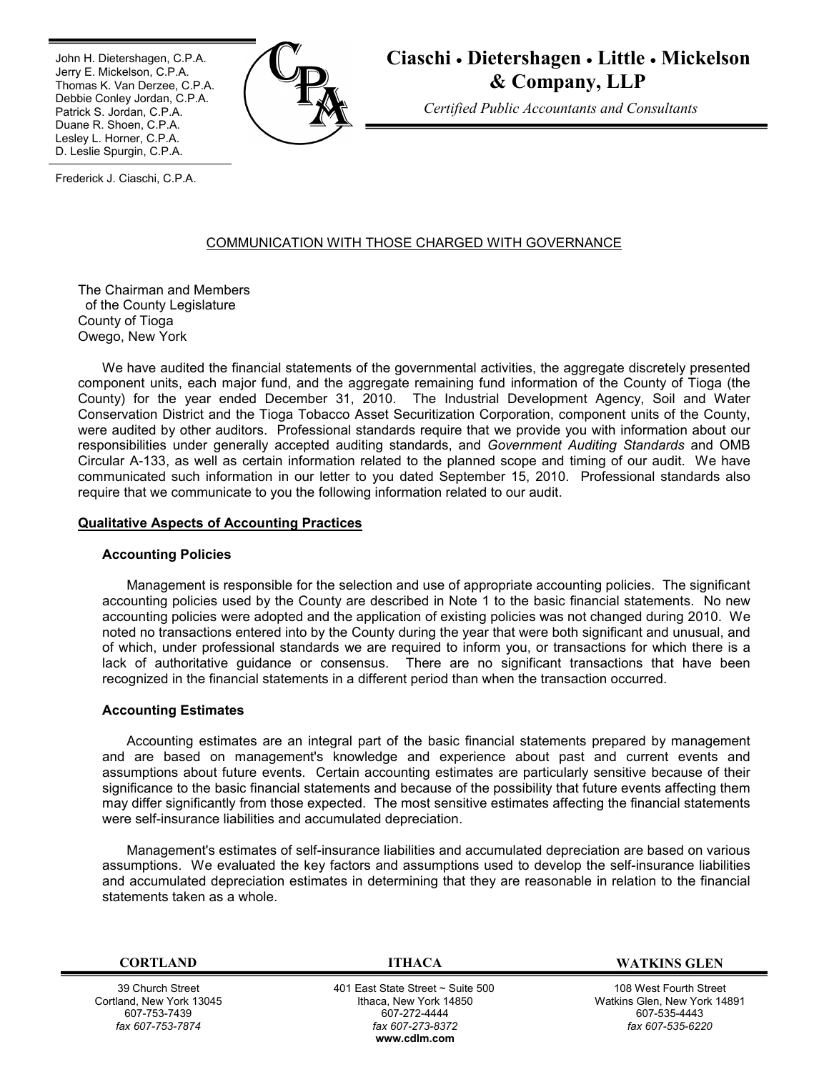Ī John H. Dietershagen, C.P.A. Jerry E. Mickelson, C.P.A. Thomas K. Van Derzee, C.P.A. Debbie Conley Jordan, C.P.A. Patrick S. Jordan, C.P.A. Duane R. Shoen, C.P.A. Lesley L. Horner, C.P.A. D. Leslie Spurgin, C.P.A.



**Ciaschi Dietershagen Little Mickelson & Company, LLP**

*Certified Public Accountants and Consultants*

Frederick J. Ciaschi, C.P.A.

# COMMUNICATION WITH THOSE CHARGED WITH GOVERNANCE

The Chairman and Members of the County Legislature County of Tioga Owego, New York

We have audited the financial statements of the governmental activities, the aggregate discretely presented component units, each major fund, and the aggregate remaining fund information of the County of Tioga (the County) for the year ended December 31, 2010. The Industrial Development Agency, Soil and Water Conservation District and the Tioga Tobacco Asset Securitization Corporation, component units of the County, were audited by other auditors. Professional standards require that we provide you with information about our responsibilities under generally accepted auditing standards, and *Government Auditing Standards* and OMB Circular A-133, as well as certain information related to the planned scope and timing of our audit. We have communicated such information in our letter to you dated September 15, 2010. Professional standards also require that we communicate to you the following information related to our audit.

### **Qualitative Aspects of Accounting Practices**

## **Accounting Policies**

Management is responsible for the selection and use of appropriate accounting policies. The significant accounting policies used by the County are described in Note 1 to the basic financial statements. No new accounting policies were adopted and the application of existing policies was not changed during 2010. We noted no transactions entered into by the County during the year that were both significant and unusual, and of which, under professional standards we are required to inform you, or transactions for which there is a lack of authoritative guidance or consensus. There are no significant transactions that have been recognized in the financial statements in a different period than when the transaction occurred.

### **Accounting Estimates**

Accounting estimates are an integral part of the basic financial statements prepared by management and are based on management's knowledge and experience about past and current events and assumptions about future events. Certain accounting estimates are particularly sensitive because of their significance to the basic financial statements and because of the possibility that future events affecting them may differ significantly from those expected. The most sensitive estimates affecting the financial statements were self-insurance liabilities and accumulated depreciation.

Management's estimates of self-insurance liabilities and accumulated depreciation are based on various assumptions. We evaluated the key factors and assumptions used to develop the self-insurance liabilities and accumulated depreciation estimates in determining that they are reasonable in relation to the financial statements taken as a whole.

39 Church Street Cortland, New York 13045 607-753-7439 *fax 607-753-7874*

 401 East State Street ~ Suite 500 Ithaca, New York 14850 607-272-4444 *fax 607-273-8372* **w[ww.cdlm.com](www.cdlm.com)**

**CORTLAND ITHACA WATKINS GLEN**

108 West Fourth Street Watkins Glen, New York 14891 607-535-4443 *fax 607-535-6220*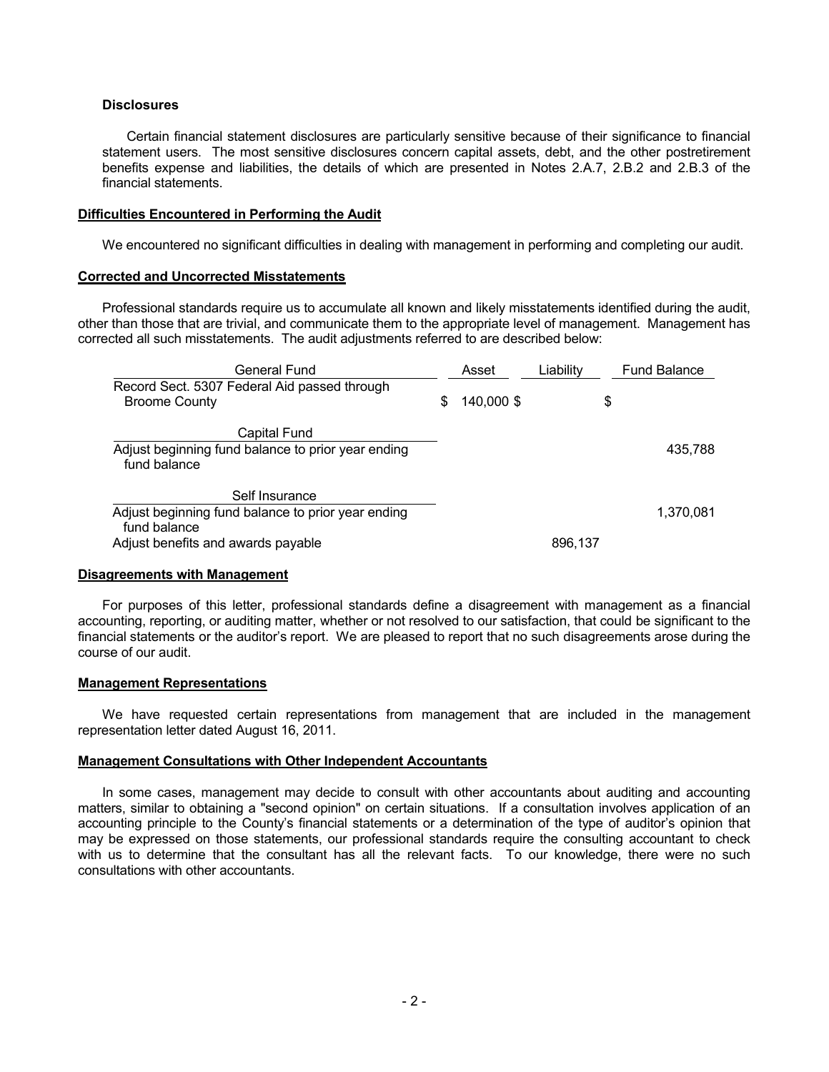## **Disclosures**

Certain financial statement disclosures are particularly sensitive because of their significance to financial statement users. The most sensitive disclosures concern capital assets, debt, and the other postretirement benefits expense and liabilities, the details of which are presented in Notes 2.A.7, 2.B.2 and 2.B.3 of the financial statements.

## **Difficulties Encountered in Performing the Audit**

We encountered no significant difficulties in dealing with management in performing and completing our audit.

## **Corrected and Uncorrected Misstatements**

Professional standards require us to accumulate all known and likely misstatements identified during the audit, other than those that are trivial, and communicate them to the appropriate level of management. Management has corrected all such misstatements. The audit adjustments referred to are described below:

| General Fund                                                       |   | Asset      | Liability | <b>Fund Balance</b> |
|--------------------------------------------------------------------|---|------------|-----------|---------------------|
| Record Sect. 5307 Federal Aid passed through                       |   |            |           |                     |
| <b>Broome County</b>                                               | S | 140,000 \$ |           | \$                  |
| Capital Fund                                                       |   |            |           |                     |
| Adjust beginning fund balance to prior year ending<br>fund balance |   |            |           | 435,788             |
| Self Insurance                                                     |   |            |           |                     |
| Adjust beginning fund balance to prior year ending<br>fund balance |   |            |           | 1,370,081           |
| Adjust benefits and awards payable                                 |   |            | 896,137   |                     |

## **Disagreements with Management**

For purposes of this letter, professional standards define a disagreement with management as a financial accounting, reporting, or auditing matter, whether or not resolved to our satisfaction, that could be significant to the financial statements or the auditor's report. We are pleased to report that no such disagreements arose during the course of our audit.

### **Management Representations**

We have requested certain representations from management that are included in the management representation letter dated August 16, 2011.

### **Management Consultations with Other Independent Accountants**

In some cases, management may decide to consult with other accountants about auditing and accounting matters, similar to obtaining a "second opinion" on certain situations. If a consultation involves application of an accounting principle to the County's financial statements or a determination of the type of auditor's opinion that may be expressed on those statements, our professional standards require the consulting accountant to check with us to determine that the consultant has all the relevant facts. To our knowledge, there were no such consultations with other accountants.